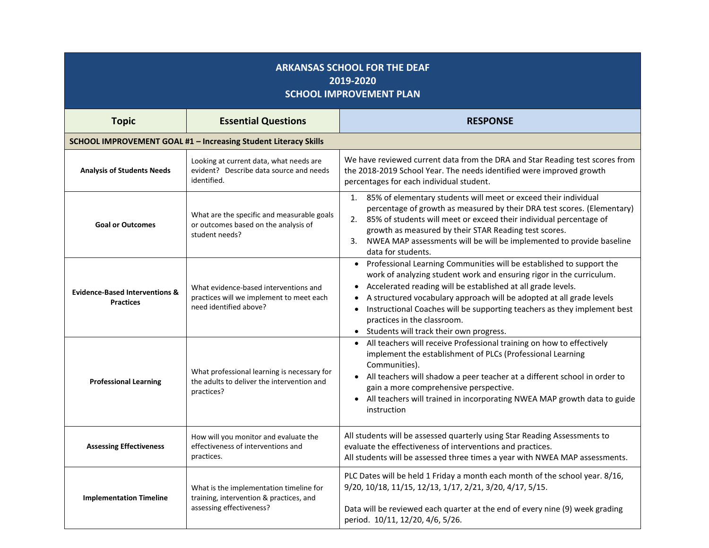| <b>ARKANSAS SCHOOL FOR THE DEAF</b><br>2019-2020<br><b>SCHOOL IMPROVEMENT PLAN</b> |                                                                                                                |                                                                                                                                                                                                                                                                                                                                                                                                                                                                                                |  |  |
|------------------------------------------------------------------------------------|----------------------------------------------------------------------------------------------------------------|------------------------------------------------------------------------------------------------------------------------------------------------------------------------------------------------------------------------------------------------------------------------------------------------------------------------------------------------------------------------------------------------------------------------------------------------------------------------------------------------|--|--|
| <b>Topic</b>                                                                       | <b>Essential Questions</b>                                                                                     | <b>RESPONSE</b>                                                                                                                                                                                                                                                                                                                                                                                                                                                                                |  |  |
| SCHOOL IMPROVEMENT GOAL #1 - Increasing Student Literacy Skills                    |                                                                                                                |                                                                                                                                                                                                                                                                                                                                                                                                                                                                                                |  |  |
| <b>Analysis of Students Needs</b>                                                  | Looking at current data, what needs are<br>evident? Describe data source and needs<br>identified.              | We have reviewed current data from the DRA and Star Reading test scores from<br>the 2018-2019 School Year. The needs identified were improved growth<br>percentages for each individual student.                                                                                                                                                                                                                                                                                               |  |  |
| <b>Goal or Outcomes</b>                                                            | What are the specific and measurable goals<br>or outcomes based on the analysis of<br>student needs?           | 85% of elementary students will meet or exceed their individual<br>1.<br>percentage of growth as measured by their DRA test scores. (Elementary)<br>85% of students will meet or exceed their individual percentage of<br>2.<br>growth as measured by their STAR Reading test scores.<br>NWEA MAP assessments will be will be implemented to provide baseline<br>3.<br>data for students.                                                                                                      |  |  |
| <b>Evidence-Based Interventions &amp;</b><br><b>Practices</b>                      | What evidence-based interventions and<br>practices will we implement to meet each<br>need identified above?    | Professional Learning Communities will be established to support the<br>$\bullet$<br>work of analyzing student work and ensuring rigor in the curriculum.<br>Accelerated reading will be established at all grade levels.<br>$\bullet$<br>A structured vocabulary approach will be adopted at all grade levels<br>Instructional Coaches will be supporting teachers as they implement best<br>$\bullet$<br>practices in the classroom.<br>Students will track their own progress.<br>$\bullet$ |  |  |
| <b>Professional Learning</b>                                                       | What professional learning is necessary for<br>the adults to deliver the intervention and<br>practices?        | All teachers will receive Professional training on how to effectively<br>implement the establishment of PLCs (Professional Learning<br>Communities).<br>All teachers will shadow a peer teacher at a different school in order to<br>$\bullet$<br>gain a more comprehensive perspective.<br>All teachers will trained in incorporating NWEA MAP growth data to guide<br>$\bullet$<br>instruction                                                                                               |  |  |
| <b>Assessing Effectiveness</b>                                                     | How will you monitor and evaluate the<br>effectiveness of interventions and<br>practices.                      | All students will be assessed quarterly using Star Reading Assessments to<br>evaluate the effectiveness of interventions and practices.<br>All students will be assessed three times a year with NWEA MAP assessments.                                                                                                                                                                                                                                                                         |  |  |
| <b>Implementation Timeline</b>                                                     | What is the implementation timeline for<br>training, intervention & practices, and<br>assessing effectiveness? | PLC Dates will be held 1 Friday a month each month of the school year. 8/16,<br>9/20, 10/18, 11/15, 12/13, 1/17, 2/21, 3/20, 4/17, 5/15.<br>Data will be reviewed each quarter at the end of every nine (9) week grading<br>period. 10/11, 12/20, 4/6, 5/26.                                                                                                                                                                                                                                   |  |  |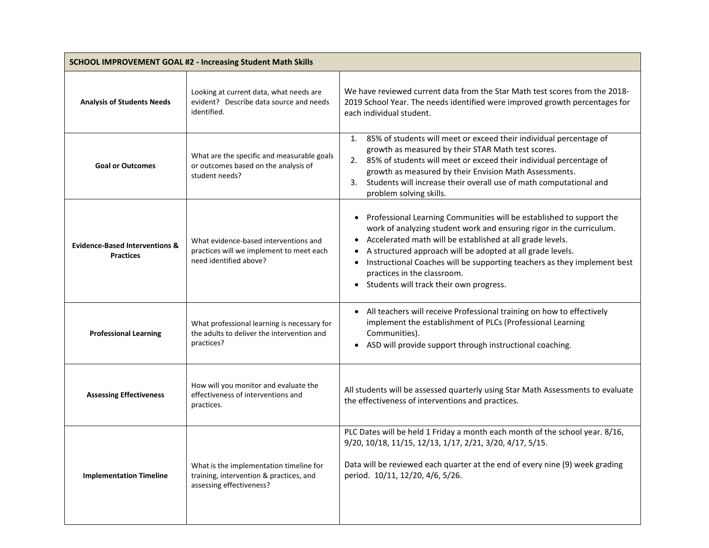| <b>SCHOOL IMPROVEMENT GOAL #2 - Increasing Student Math Skills</b> |                                                                                                                |                                                                                                                                                                                                                                                                                                                                                                                                                                                         |
|--------------------------------------------------------------------|----------------------------------------------------------------------------------------------------------------|---------------------------------------------------------------------------------------------------------------------------------------------------------------------------------------------------------------------------------------------------------------------------------------------------------------------------------------------------------------------------------------------------------------------------------------------------------|
| <b>Analysis of Students Needs</b>                                  | Looking at current data, what needs are<br>evident? Describe data source and needs<br>identified.              | We have reviewed current data from the Star Math test scores from the 2018-<br>2019 School Year. The needs identified were improved growth percentages for<br>each individual student.                                                                                                                                                                                                                                                                  |
| <b>Goal or Outcomes</b>                                            | What are the specific and measurable goals<br>or outcomes based on the analysis of<br>student needs?           | 1. 85% of students will meet or exceed their individual percentage of<br>growth as measured by their STAR Math test scores.<br>2. 85% of students will meet or exceed their individual percentage of<br>growth as measured by their Envision Math Assessments.<br>Students will increase their overall use of math computational and<br>3.<br>problem solving skills.                                                                                   |
| <b>Evidence-Based Interventions &amp;</b><br><b>Practices</b>      | What evidence-based interventions and<br>practices will we implement to meet each<br>need identified above?    | Professional Learning Communities will be established to support the<br>$\bullet$<br>work of analyzing student work and ensuring rigor in the curriculum.<br>Accelerated math will be established at all grade levels.<br>A structured approach will be adopted at all grade levels.<br>Instructional Coaches will be supporting teachers as they implement best<br>practices in the classroom.<br>Students will track their own progress.<br>$\bullet$ |
| <b>Professional Learning</b>                                       | What professional learning is necessary for<br>the adults to deliver the intervention and<br>practices?        | All teachers will receive Professional training on how to effectively<br>$\bullet$<br>implement the establishment of PLCs (Professional Learning<br>Communities).<br>ASD will provide support through instructional coaching.<br>$\bullet$                                                                                                                                                                                                              |
| <b>Assessing Effectiveness</b>                                     | How will you monitor and evaluate the<br>effectiveness of interventions and<br>practices.                      | All students will be assessed quarterly using Star Math Assessments to evaluate<br>the effectiveness of interventions and practices.                                                                                                                                                                                                                                                                                                                    |
| <b>Implementation Timeline</b>                                     | What is the implementation timeline for<br>training, intervention & practices, and<br>assessing effectiveness? | PLC Dates will be held 1 Friday a month each month of the school year. 8/16,<br>9/20, 10/18, 11/15, 12/13, 1/17, 2/21, 3/20, 4/17, 5/15.<br>Data will be reviewed each quarter at the end of every nine (9) week grading<br>period. 10/11, 12/20, 4/6, 5/26.                                                                                                                                                                                            |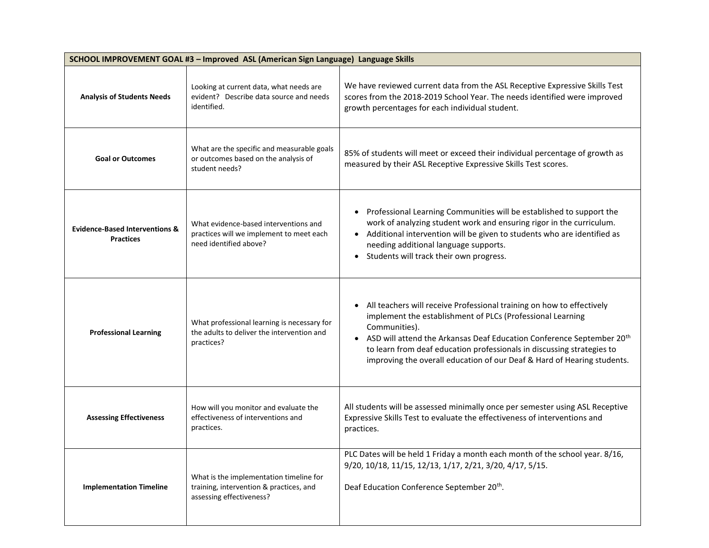| SCHOOL IMPROVEMENT GOAL #3 - Improved ASL (American Sign Language) Language Skills |                                                                                                                |                                                                                                                                                                                                                                                                                                                                                                                                             |
|------------------------------------------------------------------------------------|----------------------------------------------------------------------------------------------------------------|-------------------------------------------------------------------------------------------------------------------------------------------------------------------------------------------------------------------------------------------------------------------------------------------------------------------------------------------------------------------------------------------------------------|
| <b>Analysis of Students Needs</b>                                                  | Looking at current data, what needs are<br>evident? Describe data source and needs<br>identified.              | We have reviewed current data from the ASL Receptive Expressive Skills Test<br>scores from the 2018-2019 School Year. The needs identified were improved<br>growth percentages for each individual student.                                                                                                                                                                                                 |
| <b>Goal or Outcomes</b>                                                            | What are the specific and measurable goals<br>or outcomes based on the analysis of<br>student needs?           | 85% of students will meet or exceed their individual percentage of growth as<br>measured by their ASL Receptive Expressive Skills Test scores.                                                                                                                                                                                                                                                              |
| <b>Evidence-Based Interventions &amp;</b><br><b>Practices</b>                      | What evidence-based interventions and<br>practices will we implement to meet each<br>need identified above?    | Professional Learning Communities will be established to support the<br>work of analyzing student work and ensuring rigor in the curriculum.<br>Additional intervention will be given to students who are identified as<br>needing additional language supports.<br>Students will track their own progress.<br>$\bullet$                                                                                    |
| <b>Professional Learning</b>                                                       | What professional learning is necessary for<br>the adults to deliver the intervention and<br>practices?        | All teachers will receive Professional training on how to effectively<br>implement the establishment of PLCs (Professional Learning<br>Communities).<br>ASD will attend the Arkansas Deaf Education Conference September 20 <sup>th</sup><br>$\bullet$<br>to learn from deaf education professionals in discussing strategies to<br>improving the overall education of our Deaf & Hard of Hearing students. |
| <b>Assessing Effectiveness</b>                                                     | How will you monitor and evaluate the<br>effectiveness of interventions and<br>practices.                      | All students will be assessed minimally once per semester using ASL Receptive<br>Expressive Skills Test to evaluate the effectiveness of interventions and<br>practices.                                                                                                                                                                                                                                    |
| <b>Implementation Timeline</b>                                                     | What is the implementation timeline for<br>training, intervention & practices, and<br>assessing effectiveness? | PLC Dates will be held 1 Friday a month each month of the school year. 8/16,<br>9/20, 10/18, 11/15, 12/13, 1/17, 2/21, 3/20, 4/17, 5/15.<br>Deaf Education Conference September 20th.                                                                                                                                                                                                                       |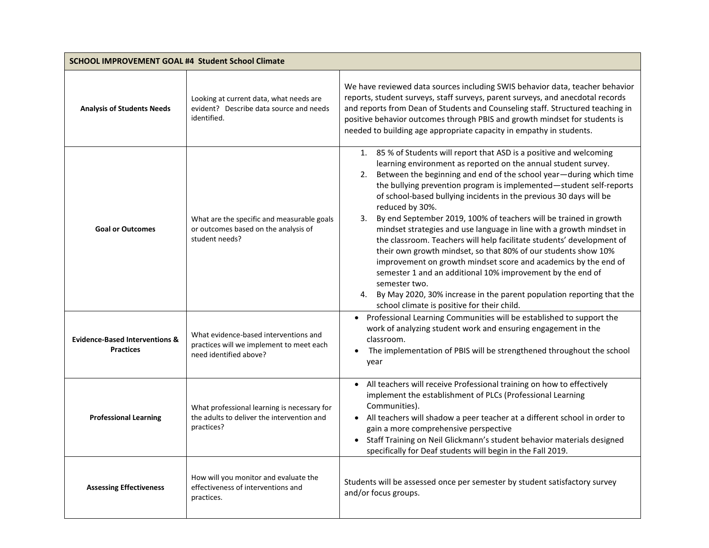|                                                               | SCHOOL IMPROVEMENT GOAL #4 Student School Climate                                                           |                                                                                                                                                                                                                                                                                                                                                                                                                                                                                                                                                                                                                                                                                                                                                                                                                                                                                                                                                         |  |
|---------------------------------------------------------------|-------------------------------------------------------------------------------------------------------------|---------------------------------------------------------------------------------------------------------------------------------------------------------------------------------------------------------------------------------------------------------------------------------------------------------------------------------------------------------------------------------------------------------------------------------------------------------------------------------------------------------------------------------------------------------------------------------------------------------------------------------------------------------------------------------------------------------------------------------------------------------------------------------------------------------------------------------------------------------------------------------------------------------------------------------------------------------|--|
| <b>Analysis of Students Needs</b>                             | Looking at current data, what needs are<br>evident? Describe data source and needs<br>identified.           | We have reviewed data sources including SWIS behavior data, teacher behavior<br>reports, student surveys, staff surveys, parent surveys, and anecdotal records<br>and reports from Dean of Students and Counseling staff. Structured teaching in<br>positive behavior outcomes through PBIS and growth mindset for students is<br>needed to building age appropriate capacity in empathy in students.                                                                                                                                                                                                                                                                                                                                                                                                                                                                                                                                                   |  |
| <b>Goal or Outcomes</b>                                       | What are the specific and measurable goals<br>or outcomes based on the analysis of<br>student needs?        | 1. 85 % of Students will report that ASD is a positive and welcoming<br>learning environment as reported on the annual student survey.<br>2. Between the beginning and end of the school year-during which time<br>the bullying prevention program is implemented-student self-reports<br>of school-based bullying incidents in the previous 30 days will be<br>reduced by 30%.<br>3. By end September 2019, 100% of teachers will be trained in growth<br>mindset strategies and use language in line with a growth mindset in<br>the classroom. Teachers will help facilitate students' development of<br>their own growth mindset, so that 80% of our students show 10%<br>improvement on growth mindset score and academics by the end of<br>semester 1 and an additional 10% improvement by the end of<br>semester two.<br>4. By May 2020, 30% increase in the parent population reporting that the<br>school climate is positive for their child. |  |
| <b>Evidence-Based Interventions &amp;</b><br><b>Practices</b> | What evidence-based interventions and<br>practices will we implement to meet each<br>need identified above? | • Professional Learning Communities will be established to support the<br>work of analyzing student work and ensuring engagement in the<br>classroom.<br>The implementation of PBIS will be strengthened throughout the school<br>year                                                                                                                                                                                                                                                                                                                                                                                                                                                                                                                                                                                                                                                                                                                  |  |
| <b>Professional Learning</b>                                  | What professional learning is necessary for<br>the adults to deliver the intervention and<br>practices?     | All teachers will receive Professional training on how to effectively<br>implement the establishment of PLCs (Professional Learning<br>Communities).<br>• All teachers will shadow a peer teacher at a different school in order to<br>gain a more comprehensive perspective<br>Staff Training on Neil Glickmann's student behavior materials designed<br>specifically for Deaf students will begin in the Fall 2019.                                                                                                                                                                                                                                                                                                                                                                                                                                                                                                                                   |  |
| <b>Assessing Effectiveness</b>                                | How will you monitor and evaluate the<br>effectiveness of interventions and<br>practices.                   | Students will be assessed once per semester by student satisfactory survey<br>and/or focus groups.                                                                                                                                                                                                                                                                                                                                                                                                                                                                                                                                                                                                                                                                                                                                                                                                                                                      |  |